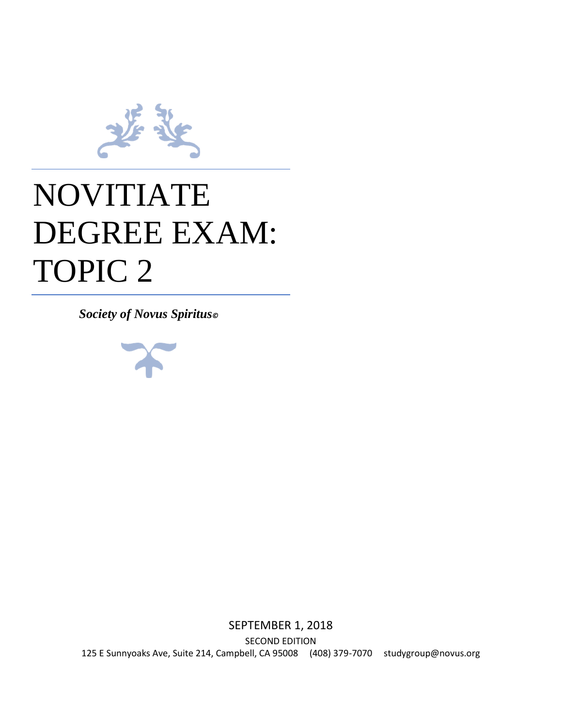

# NOVITIATE DEGREE EXAM: TOPIC 2

*Society of Novus Spiritus©*



SEPTEMBER 1, 2018 SECOND EDITION 125 E Sunnyoaks Ave, Suite 214, Campbell, CA 95008 (408) 379-7070 studygroup@novus.org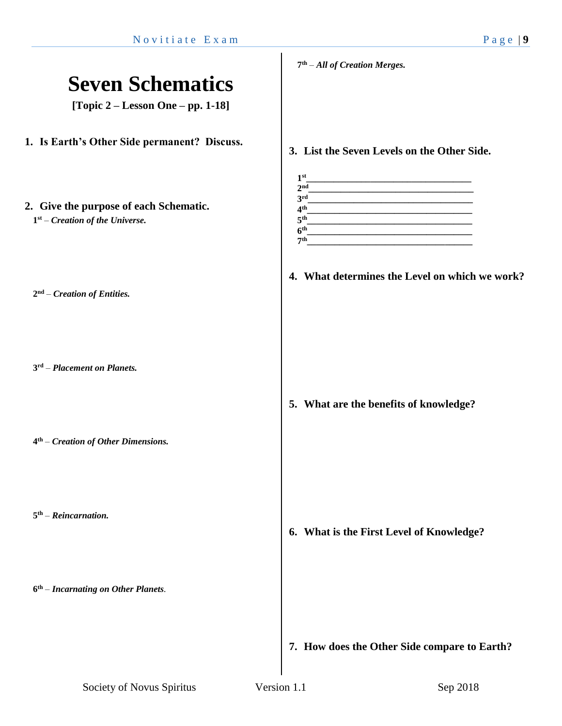### **Seven Schematics [Topic 2 – Lesson One – pp. 1-18] 1. Is Earth's Other Side permanent? Discuss. 2. Give the purpose of each Schematic. 1 st** – *Creation of the Universe.* **2 nd** – *Creation of Entities.* **3 rd** – *Placement on Planets.* **4 th** – *Creation of Other Dimensions.* **5 th** – *Reincarnation.* **6 th** – *Incarnating on Other Planets.* **7 th** – *All of Creation Merges.* **3. List the Seven Levels on the Other Side. 1 st\_\_\_\_\_\_\_\_\_\_\_\_\_\_\_\_\_\_\_\_\_\_\_\_\_\_\_\_\_\_\_\_\_\_\_\_** 2<sup>nd</sup> **nd\_\_\_\_\_\_\_\_\_\_\_\_\_\_\_\_\_\_\_\_\_\_\_\_\_\_\_\_\_\_\_\_\_\_\_\_** 3rd **rd\_\_\_\_\_\_\_\_\_\_\_\_\_\_\_\_\_\_\_\_\_\_\_\_\_\_\_\_\_\_\_\_\_\_\_\_ 4 th\_\_\_\_\_\_\_\_\_\_\_\_\_\_\_\_\_\_\_\_\_\_\_\_\_\_\_\_\_\_\_\_\_\_\_\_ 5 th\_\_\_\_\_\_\_\_\_\_\_\_\_\_\_\_\_\_\_\_\_\_\_\_\_\_\_\_\_\_\_\_\_\_\_\_ 6 th\_\_\_\_\_\_\_\_\_\_\_\_\_\_\_\_\_\_\_\_\_\_\_\_\_\_\_\_\_\_\_\_\_\_\_\_ 7 th\_\_\_\_\_\_\_\_\_\_\_\_\_\_\_\_\_\_\_\_\_\_\_\_\_\_\_\_\_\_\_\_\_\_\_\_ 4. What determines the Level on which we work? 5. What are the benefits of knowledge? 6. What is the First Level of Knowledge? 7. How does the Other Side compare to Earth?**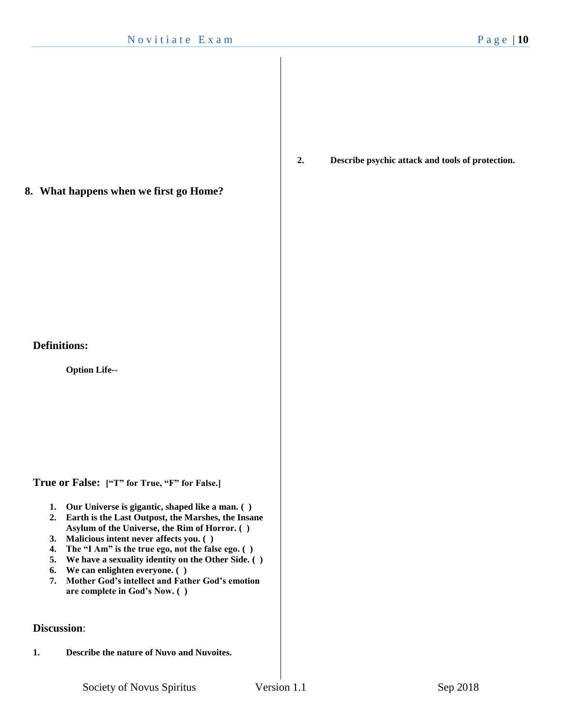**8. What happens when we first go Home?**

### **Definitions:**

**Option Life--**

**True or False: ["T" for True, "F" for False.]**

- **1. Our Universe is gigantic, shaped like a man. ( )**
- **2. Earth is the Last Outpost, the Marshes, the Insane Asylum of the Universe, the Rim of Horror. ( )**
- **3. Malicious intent never affects you. ( )**
- **4. The "I Am" is the true ego, not the false ego. ( )**
- **5. We have a sexuality identity on the Other Side. ( )**
- **6. We can enlighten everyone. ( )**
- **7. Mother God's intellect and Father God's emotion are complete in God's Now. ( )**

### **Discussion**:

**1. Describe the nature of Nuvo and Nuvoites.**

**2. Describe psychic attack and tools of protection.**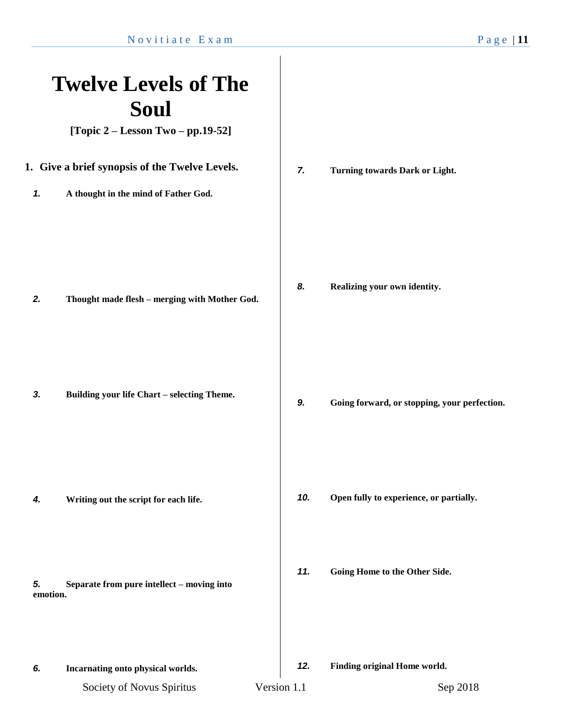## Society of Novus Spiritus Version 1.1 Sep 2018 **Twelve Levels of The Soul [Topic 2 – Lesson Two – pp.19-52] 1. Give a brief synopsis of the Twelve Levels.** *1.* **A thought in the mind of Father God.** *2.* **Thought made flesh – merging with Mother God.** *3.* **Building your life Chart – selecting Theme.** *4.* **Writing out the script for each life.** *5.* **Separate from pure intellect – moving into emotion.** *6.* **Incarnating onto physical worlds.** *7.* **Turning towards Dark or Light.** *8.* **Realizing your own identity.** *9.* **Going forward, or stopping, your perfection.** *10.* **Open fully to experience, or partially.** *11.* **Going Home to the Other Side.** *12.* **Finding original Home world.**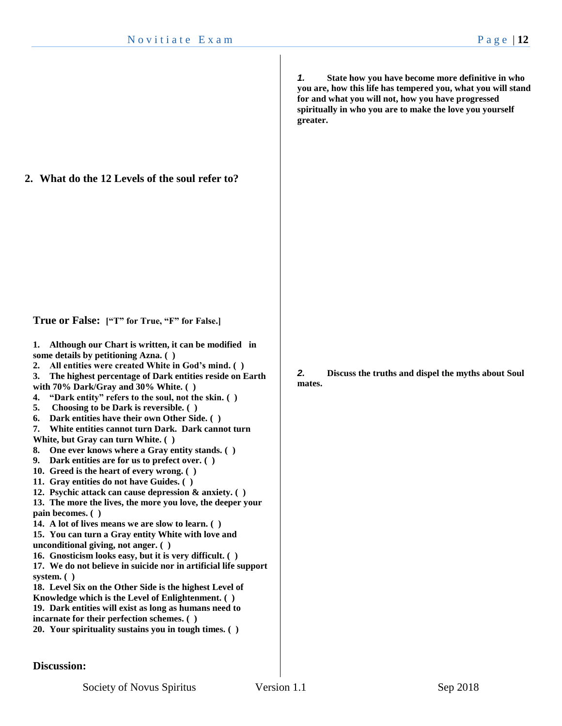**2. What do the 12 Levels of the soul refer to?**

**True or False: ["T" for True, "F" for False.]**

**1. Although our Chart is written, it can be modified in some details by petitioning Azna. ( )**

**2. All entities were created White in God's mind. ( )**

**3. The highest percentage of Dark entities reside on Earth with 70% Dark/Gray and 30% White. ( )**

- **4. "Dark entity" refers to the soul, not the skin. ( )**
- **5. Choosing to be Dark is reversible. ( )**
- **6. Dark entities have their own Other Side. ( )**
- **7. White entities cannot turn Dark. Dark cannot turn**

**White, but Gray can turn White. ( )**

- **8. One ever knows where a Gray entity stands. ( )**
- **9. Dark entities are for us to prefect over. ( )**
- **10. Greed is the heart of every wrong. ( )**
- **11. Gray entities do not have Guides. ( )**
- **12. Psychic attack can cause depression & anxiety. ( )**

**13. The more the lives, the more you love, the deeper your pain becomes. ( )**

**14. A lot of lives means we are slow to learn. ( )**

**15. You can turn a Gray entity White with love and unconditional giving, not anger. ( )**

**16. Gnosticism looks easy, but it is very difficult. ( )**

**17. We do not believe in suicide nor in artificial life support system. ( )**

**18. Level Six on the Other Side is the highest Level of Knowledge which is the Level of Enlightenment. ( ) 19. Dark entities will exist as long as humans need to incarnate for their perfection schemes. ( )**

```
20. Your spirituality sustains you in tough times. ( )
```
*1.* **State how you have become more definitive in who you are, how this life has tempered you, what you will stand for and what you will not, how you have progressed spiritually in who you are to make the love you yourself greater.**

*2.* **Discuss the truths and dispel the myths about Soul mates.**

**Discussion:**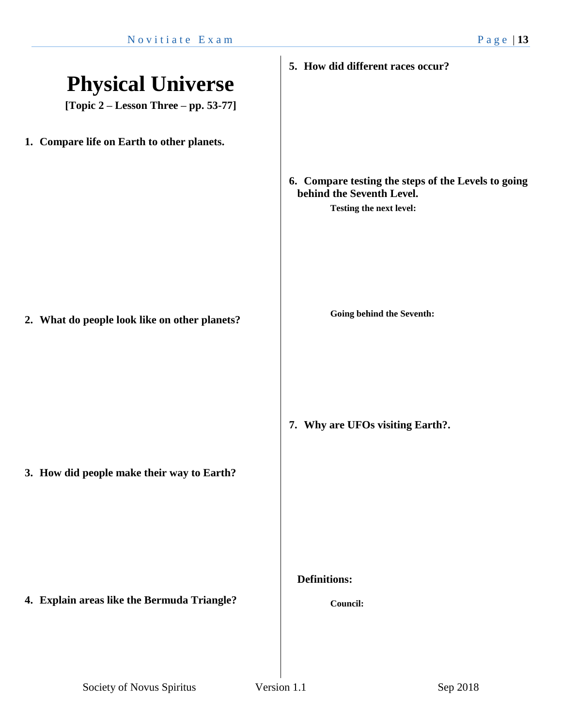| <b>Physical Universe</b><br>[Topic $2 -$ Lesson Three $-$ pp. 53-77] | 5. How did different races occur?                                                                           |
|----------------------------------------------------------------------|-------------------------------------------------------------------------------------------------------------|
| 1. Compare life on Earth to other planets.                           |                                                                                                             |
|                                                                      | 6. Compare testing the steps of the Levels to going<br>behind the Seventh Level.<br>Testing the next level: |
| 2. What do people look like on other planets?                        | Going behind the Seventh:                                                                                   |
| 3. How did people make their way to Earth?                           | 7. Why are UFOs visiting Earth?.                                                                            |
| 4. Explain areas like the Bermuda Triangle?                          | <b>Definitions:</b><br>Council:                                                                             |
|                                                                      |                                                                                                             |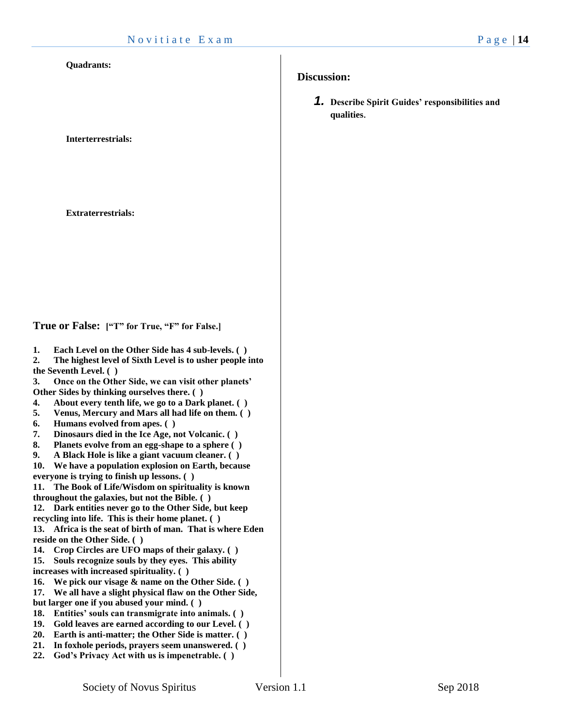#### **Quadrants:**

**Interterrestrials:** 

**Extraterrestrials:** 

**True or False: ["T" for True, "F" for False.]**

**1. Each Level on the Other Side has 4 sub-levels. ( )**

**2. The highest level of Sixth Level is to usher people into the Seventh Level. ( )**

**3. Once on the Other Side, we can visit other planets' Other Sides by thinking ourselves there. ( )**

- **4. About every tenth life, we go to a Dark planet. ( )**
- **5. Venus, Mercury and Mars all had life on them. ( )**
- **6. Humans evolved from apes. ( )**
- **7. Dinosaurs died in the Ice Age, not Volcanic. ( )**
- **8. Planets evolve from an egg-shape to a sphere ( )**
- **9. A Black Hole is like a giant vacuum cleaner. ( )**

**10. We have a population explosion on Earth, because everyone is trying to finish up lessons. ( )**

**11. The Book of Life/Wisdom on spirituality is known throughout the galaxies, but not the Bible. ( )**

**12. Dark entities never go to the Other Side, but keep recycling into life. This is their home planet. ( )**

**13. Africa is the seat of birth of man. That is where Eden reside on the Other Side. ( )**

- **14. Crop Circles are UFO maps of their galaxy. ( )**
- **15. Souls recognize souls by they eyes. This ability**
- **increases with increased spirituality. ( )**
- **16. We pick our visage & name on the Other Side. ( )**
- **17. We all have a slight physical flaw on the Other Side, but larger one if you abused your mind. ( )**
- **18. Entities' souls can transmigrate into animals. ( )**
- **19. Gold leaves are earned according to our Level. ( )**
- **20. Earth is anti-matter; the Other Side is matter. ( )**
- **21. In foxhole periods, prayers seem unanswered. ( )**
- **22. God's Privacy Act with us is impenetrable. ( )**

### **Discussion:**

*1.* **Describe Spirit Guides' responsibilities and qualities**.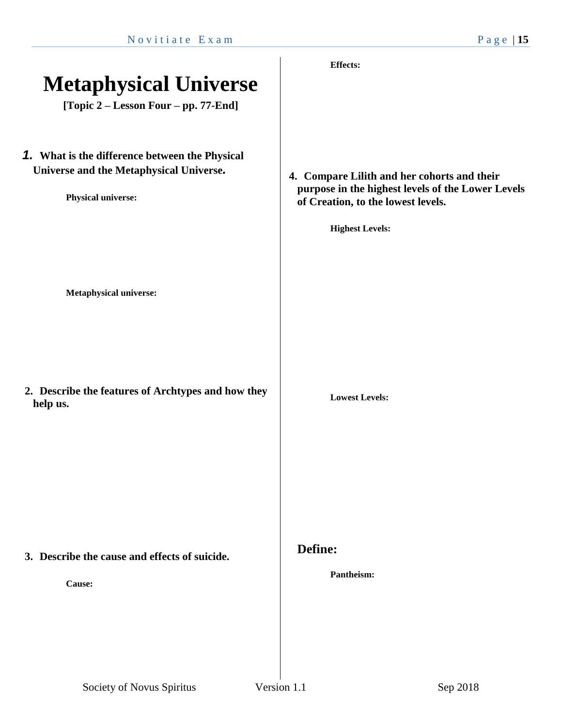|                                                    | <b>Effects:</b>                                   |
|----------------------------------------------------|---------------------------------------------------|
| <b>Metaphysical Universe</b>                       |                                                   |
|                                                    |                                                   |
| [Topic 2 – Lesson Four – pp. 77-End]               |                                                   |
|                                                    |                                                   |
|                                                    |                                                   |
| 1. What is the difference between the Physical     |                                                   |
| Universe and the Metaphysical Universe.            | 4. Compare Lilith and her cohorts and their       |
|                                                    | purpose in the highest levels of the Lower Levels |
| <b>Physical universe:</b>                          | of Creation, to the lowest levels.                |
|                                                    |                                                   |
|                                                    | <b>Highest Levels:</b>                            |
|                                                    |                                                   |
|                                                    |                                                   |
|                                                    |                                                   |
| <b>Metaphysical universe:</b>                      |                                                   |
|                                                    |                                                   |
|                                                    |                                                   |
|                                                    |                                                   |
|                                                    |                                                   |
|                                                    |                                                   |
| 2. Describe the features of Archtypes and how they | <b>Lowest Levels:</b>                             |
| help us.                                           |                                                   |
|                                                    |                                                   |
|                                                    |                                                   |
|                                                    |                                                   |
|                                                    |                                                   |
|                                                    |                                                   |
|                                                    |                                                   |
|                                                    |                                                   |
|                                                    |                                                   |
| 3. Describe the cause and effects of suicide.      | Define:                                           |
|                                                    | Pantheism:                                        |
| Cause:                                             |                                                   |
|                                                    |                                                   |
|                                                    |                                                   |
|                                                    |                                                   |
|                                                    |                                                   |